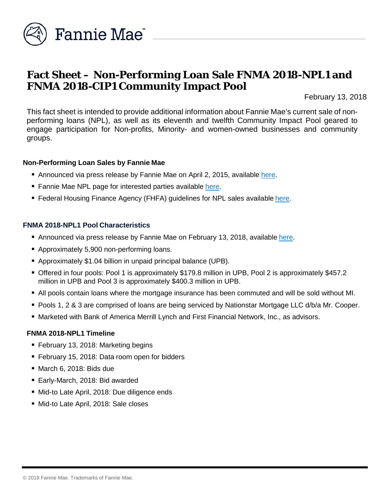

# **Fact Sheet – Non-Performing Loan Sale FNMA 2018-NPL1 and FNMA 2018-CIP1 Community Impact Pool**

February 13, 2018

This fact sheet is intended to provide additional information about Fannie Mae's current sale of nonperforming loans (NPL), as well as its eleventh and twelfth Community Impact Pool geared to engage participation for Non-profits, Minority- and women-owned businesses and community groups.

#### **Non-Performing Loan Sales by Fannie Mae**

- Announced via press release by Fannie Mae on April 2, 2015, available [here.](http://www.fanniemae.com/portal/media/financial-news/2015/6233.html)
- Fannie Mae NPL page for interested parties available [here.](http://www.fanniemae.com/portal/funding-the-market/npl/index.html)
- **Federal Housing Finance Agency (FHFA) guidelines for NPL sales available [here.](http://www.fhfa.gov/Media/PublicAffairs/Pages/Non-Performing-Loan-%28NPL%29-Sale-Requirements.aspx)**

### **FNMA 2018-NPL1 Pool Characteristics**

- Announced via press release by Fannie Mae on February 13, 2018, available [here.](http://www.fanniemae.com/portal/media/financial-news/2018/nonperforming-loan-sale-6667.html)
- **Approximately 5,900 non-performing loans.**
- Approximately \$1.04 billion in unpaid principal balance (UPB).
- Offered in four pools: Pool 1 is approximately \$179.8 million in UPB, Pool 2 is approximately \$457.2 million in UPB and Pool 3 is approximately \$400.3 million in UPB.
- All pools contain loans where the mortgage insurance has been commuted and will be sold without MI.
- Pools 1, 2 & 3 are comprised of loans are being serviced by Nationstar Mortgage LLC d/b/a Mr. Cooper.
- Marketed with Bank of America Merrill Lynch and First Financial Network, Inc., as advisors.

## **FNMA 2018-NPL1 Timeline**

- February 13, 2018: Marketing begins
- **February 15, 2018: Data room open for bidders**
- March 6, 2018: Bids due
- Early-March, 2018: Bid awarded
- Mid-to Late April, 2018: Due diligence ends
- Mid-to Late April, 2018: Sale closes